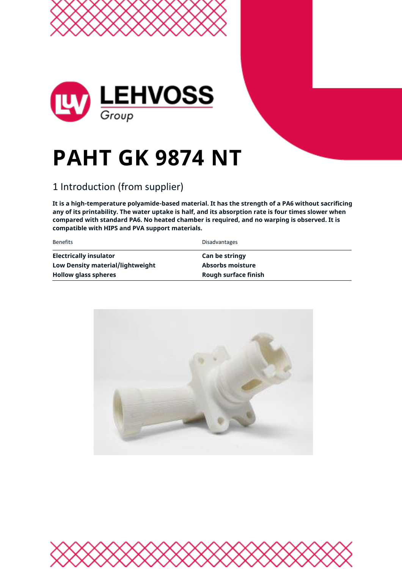

# **PAHT GK 9874 NT**

### 1 Introduction (from supplier)

**It is a high-temperature polyamide-based material. It has the strength of a PA6 without sacrificing any of its printability. The water uptake is half, and its absorption rate is four times slower when compared with standard PA6. No heated chamber is required, and no warping is observed. It is compatible with HIPS and PVA support materials.**

| <b>Benefits</b>                  | <b>Disadvantages</b>    |
|----------------------------------|-------------------------|
| <b>Electrically insulator</b>    | <b>Can be stringy</b>   |
| Low Density material/lightweight | <b>Absorbs moisture</b> |
| <b>Hollow glass spheres</b>      | Rough surface finish    |



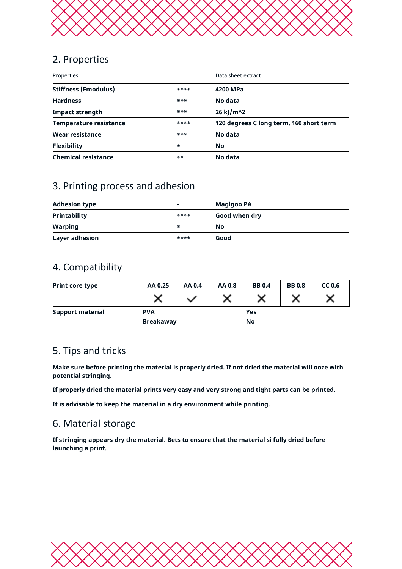

#### 2. Properties

| Properties                    |       | Data sheet extract                      |  |
|-------------------------------|-------|-----------------------------------------|--|
| <b>Stiffness (Emodulus)</b>   | ****  | 4200 MPa                                |  |
| <b>Hardness</b>               | ***   | No data                                 |  |
| <b>Impact strength</b>        | ***   | 26 kJ/m^2                               |  |
| <b>Temperature resistance</b> | ****  | 120 degrees C long term, 160 short term |  |
| Wear resistance               | ***   | No data                                 |  |
| <b>Flexibility</b>            | ∗     | <b>No</b>                               |  |
| <b>Chemical resistance</b>    | $***$ | No data                                 |  |

#### 3. Printing process and adhesion

| <b>Adhesion type</b>  | ۰    | <b>Magigoo PA</b> |  |
|-----------------------|------|-------------------|--|
| <b>Printability</b>   | **** | Good when dry     |  |
| <b>Warping</b>        | ∗    | Νo                |  |
| <b>Layer adhesion</b> | **** | Good              |  |

#### 4. Compatibility

| <b>Print core type</b>  | AA 0.25    | AA 0.4       | AA 0.8 | <b>BB0.4</b> | <b>BB0.8</b> | CC <sub>0.6</sub> |
|-------------------------|------------|--------------|--------|--------------|--------------|-------------------|
|                         | ישי        | $\checkmark$ |        | v            |              |                   |
| <b>Support material</b> | <b>PVA</b> |              | Yes    |              |              |                   |
| <b>Breakaway</b>        |            |              |        | <b>No</b>    |              |                   |

#### 5. Tips and tricks

**Make sure before printing the material is properly dried. If not dried the material will ooze with potential stringing.**

**If properly dried the material prints very easy and very strong and tight parts can be printed.** 

**It is advisable to keep the material in a dry environment while printing.**

#### 6. Material storage

**If stringing appears dry the material. Bets to ensure that the material si fully dried before launching a print.**